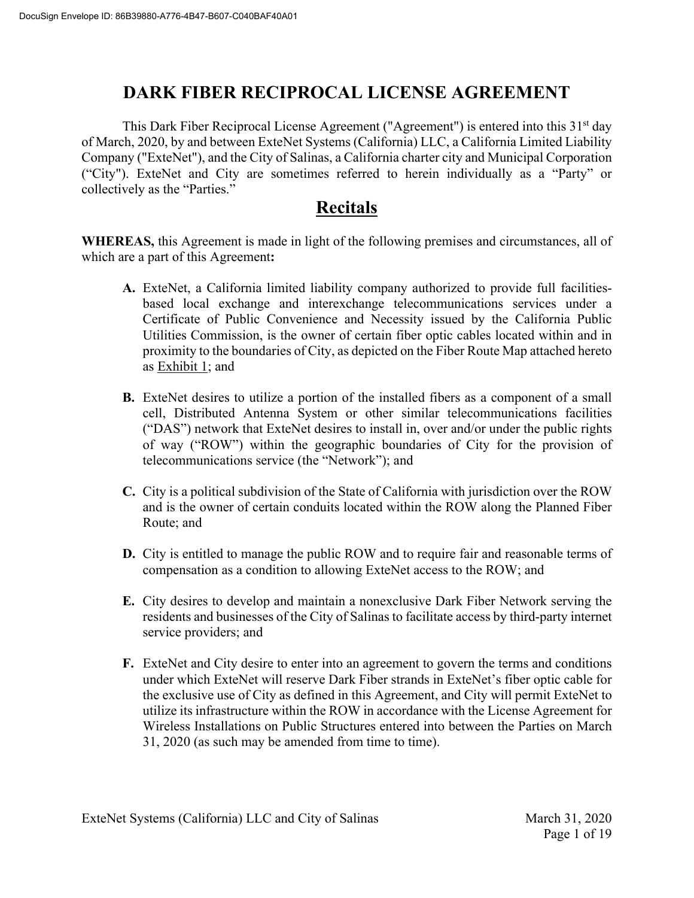# **DARK FIBER RECIPROCAL LICENSE AGREEMENT**

This Dark Fiber Reciprocal License Agreement ("Agreement") is entered into this 31<sup>st</sup> day of March, 2020, by and between ExteNet Systems (California) LLC, a California Limited Liability Company ("ExteNet"), and the City of Salinas, a California charter city and Municipal Corporation ("City"). ExteNet and City are sometimes referred to herein individually as a "Party" or collectively as the "Parties."

# **Recitals**

**WHEREAS,** this Agreement is made in light of the following premises and circumstances, all of which are a part of this Agreement**:** 

- **A.** ExteNet, a California limited liability company authorized to provide full facilitiesbased local exchange and interexchange telecommunications services under a Certificate of Public Convenience and Necessity issued by the California Public Utilities Commission, is the owner of certain fiber optic cables located within and in proximity to the boundaries of City, as depicted on the Fiber Route Map attached hereto as Exhibit 1; and
- **B.** ExteNet desires to utilize a portion of the installed fibers as a component of a small cell, Distributed Antenna System or other similar telecommunications facilities ("DAS") network that ExteNet desires to install in, over and/or under the public rights of way ("ROW") within the geographic boundaries of City for the provision of telecommunications service (the "Network"); and
- **C.** City is a political subdivision of the State of California with jurisdiction over the ROW and is the owner of certain conduits located within the ROW along the Planned Fiber Route; and
- **D.** City is entitled to manage the public ROW and to require fair and reasonable terms of compensation as a condition to allowing ExteNet access to the ROW; and
- **E.** City desires to develop and maintain a nonexclusive Dark Fiber Network serving the residents and businesses of the City of Salinas to facilitate access by third-party internet service providers; and
- **F.** ExteNet and City desire to enter into an agreement to govern the terms and conditions under which ExteNet will reserve Dark Fiber strands in ExteNet's fiber optic cable for the exclusive use of City as defined in this Agreement, and City will permit ExteNet to utilize its infrastructure within the ROW in accordance with the License Agreement for Wireless Installations on Public Structures entered into between the Parties on March 31, 2020 (as such may be amended from time to time).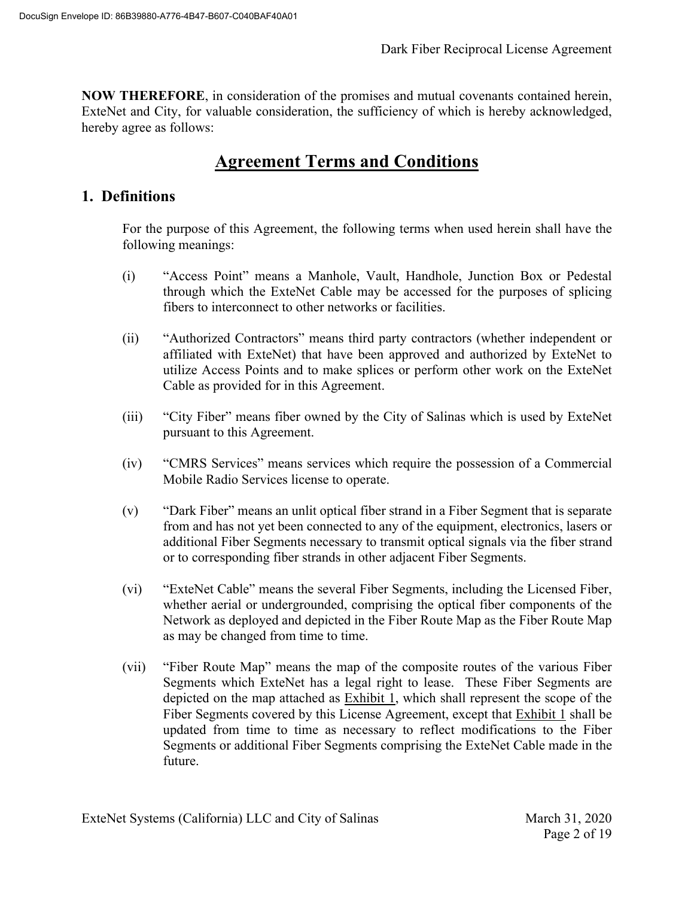**NOW THEREFORE**, in consideration of the promises and mutual covenants contained herein, ExteNet and City, for valuable consideration, the sufficiency of which is hereby acknowledged, hereby agree as follows:

# **Agreement Terms and Conditions**

# **1. Definitions**

For the purpose of this Agreement, the following terms when used herein shall have the following meanings:

- (i) "Access Point" means a Manhole, Vault, Handhole, Junction Box or Pedestal through which the ExteNet Cable may be accessed for the purposes of splicing fibers to interconnect to other networks or facilities.
- (ii) "Authorized Contractors" means third party contractors (whether independent or affiliated with ExteNet) that have been approved and authorized by ExteNet to utilize Access Points and to make splices or perform other work on the ExteNet Cable as provided for in this Agreement.
- (iii) "City Fiber" means fiber owned by the City of Salinas which is used by ExteNet pursuant to this Agreement.
- (iv) "CMRS Services" means services which require the possession of a Commercial Mobile Radio Services license to operate.
- (v) "Dark Fiber" means an unlit optical fiber strand in a Fiber Segment that is separate from and has not yet been connected to any of the equipment, electronics, lasers or additional Fiber Segments necessary to transmit optical signals via the fiber strand or to corresponding fiber strands in other adjacent Fiber Segments.
- (vi) "ExteNet Cable" means the several Fiber Segments, including the Licensed Fiber, whether aerial or undergrounded, comprising the optical fiber components of the Network as deployed and depicted in the Fiber Route Map as the Fiber Route Map as may be changed from time to time.
- (vii) "Fiber Route Map" means the map of the composite routes of the various Fiber Segments which ExteNet has a legal right to lease. These Fiber Segments are depicted on the map attached as Exhibit 1, which shall represent the scope of the Fiber Segments covered by this License Agreement, except that Exhibit 1 shall be updated from time to time as necessary to reflect modifications to the Fiber Segments or additional Fiber Segments comprising the ExteNet Cable made in the future.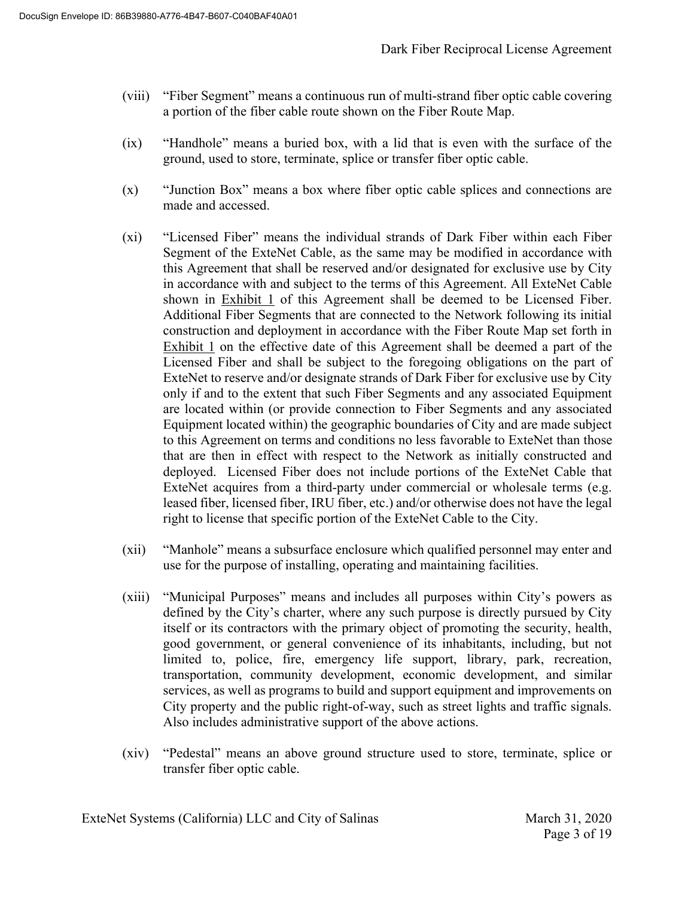- (viii) "Fiber Segment" means a continuous run of multi-strand fiber optic cable covering a portion of the fiber cable route shown on the Fiber Route Map.
- (ix) "Handhole" means a buried box, with a lid that is even with the surface of the ground, used to store, terminate, splice or transfer fiber optic cable.
- (x) "Junction Box" means a box where fiber optic cable splices and connections are made and accessed.
- (xi) "Licensed Fiber" means the individual strands of Dark Fiber within each Fiber Segment of the ExteNet Cable, as the same may be modified in accordance with this Agreement that shall be reserved and/or designated for exclusive use by City in accordance with and subject to the terms of this Agreement. All ExteNet Cable shown in Exhibit 1 of this Agreement shall be deemed to be Licensed Fiber. Additional Fiber Segments that are connected to the Network following its initial construction and deployment in accordance with the Fiber Route Map set forth in Exhibit 1 on the effective date of this Agreement shall be deemed a part of the Licensed Fiber and shall be subject to the foregoing obligations on the part of ExteNet to reserve and/or designate strands of Dark Fiber for exclusive use by City only if and to the extent that such Fiber Segments and any associated Equipment are located within (or provide connection to Fiber Segments and any associated Equipment located within) the geographic boundaries of City and are made subject to this Agreement on terms and conditions no less favorable to ExteNet than those that are then in effect with respect to the Network as initially constructed and deployed. Licensed Fiber does not include portions of the ExteNet Cable that ExteNet acquires from a third-party under commercial or wholesale terms (e.g. leased fiber, licensed fiber, IRU fiber, etc.) and/or otherwise does not have the legal right to license that specific portion of the ExteNet Cable to the City.
- (xii) "Manhole" means a subsurface enclosure which qualified personnel may enter and use for the purpose of installing, operating and maintaining facilities.
- (xiii) "Municipal Purposes" means and includes all purposes within City's powers as defined by the City's charter, where any such purpose is directly pursued by City itself or its contractors with the primary object of promoting the security, health, good government, or general convenience of its inhabitants, including, but not limited to, police, fire, emergency life support, library, park, recreation, transportation, community development, economic development, and similar services, as well as programs to build and support equipment and improvements on City property and the public right-of-way, such as street lights and traffic signals. Also includes administrative support of the above actions.
- (xiv) "Pedestal" means an above ground structure used to store, terminate, splice or transfer fiber optic cable.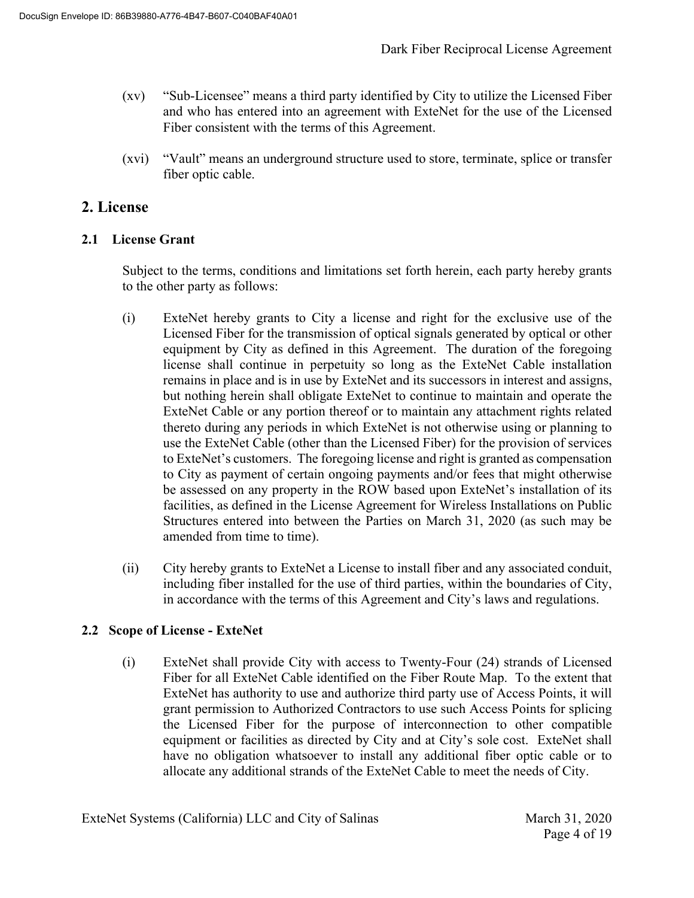- (xv) "Sub-Licensee" means a third party identified by City to utilize the Licensed Fiber and who has entered into an agreement with ExteNet for the use of the Licensed Fiber consistent with the terms of this Agreement.
- (xvi) "Vault" means an underground structure used to store, terminate, splice or transfer fiber optic cable.

### **2. License**

#### **2.1 License Grant**

Subject to the terms, conditions and limitations set forth herein, each party hereby grants to the other party as follows:

- (i) ExteNet hereby grants to City a license and right for the exclusive use of the Licensed Fiber for the transmission of optical signals generated by optical or other equipment by City as defined in this Agreement. The duration of the foregoing license shall continue in perpetuity so long as the ExteNet Cable installation remains in place and is in use by ExteNet and its successors in interest and assigns, but nothing herein shall obligate ExteNet to continue to maintain and operate the ExteNet Cable or any portion thereof or to maintain any attachment rights related thereto during any periods in which ExteNet is not otherwise using or planning to use the ExteNet Cable (other than the Licensed Fiber) for the provision of services to ExteNet's customers. The foregoing license and right is granted as compensation to City as payment of certain ongoing payments and/or fees that might otherwise be assessed on any property in the ROW based upon ExteNet's installation of its facilities, as defined in the License Agreement for Wireless Installations on Public Structures entered into between the Parties on March 31, 2020 (as such may be amended from time to time).
- (ii) City hereby grants to ExteNet a License to install fiber and any associated conduit, including fiber installed for the use of third parties, within the boundaries of City, in accordance with the terms of this Agreement and City's laws and regulations.

#### **2.2 Scope of License - ExteNet**

(i) ExteNet shall provide City with access to Twenty-Four (24) strands of Licensed Fiber for all ExteNet Cable identified on the Fiber Route Map. To the extent that ExteNet has authority to use and authorize third party use of Access Points, it will grant permission to Authorized Contractors to use such Access Points for splicing the Licensed Fiber for the purpose of interconnection to other compatible equipment or facilities as directed by City and at City's sole cost. ExteNet shall have no obligation whatsoever to install any additional fiber optic cable or to allocate any additional strands of the ExteNet Cable to meet the needs of City.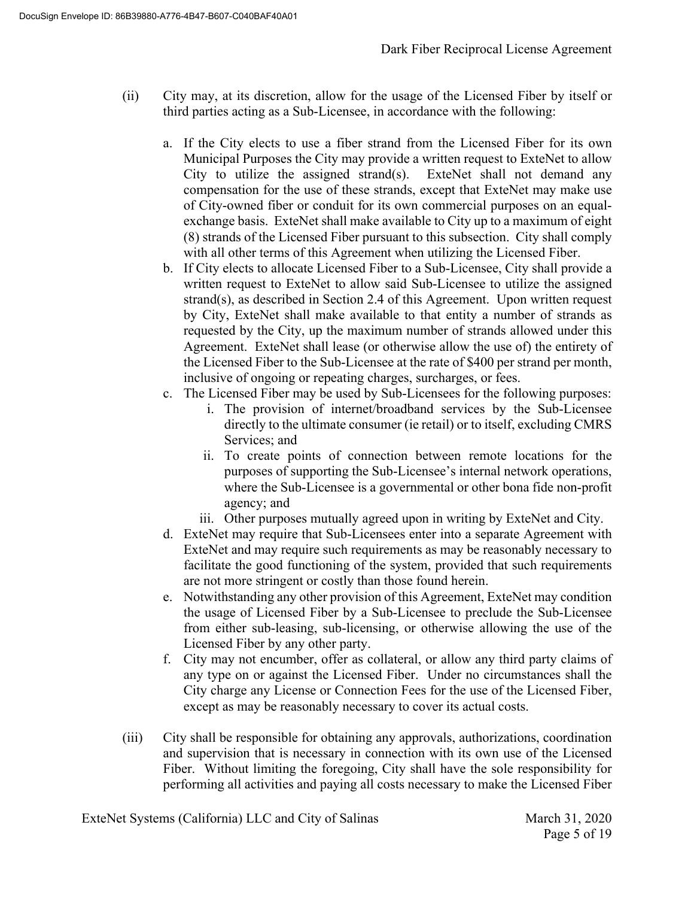- (ii) City may, at its discretion, allow for the usage of the Licensed Fiber by itself or third parties acting as a Sub-Licensee, in accordance with the following:
	- a. If the City elects to use a fiber strand from the Licensed Fiber for its own Municipal Purposes the City may provide a written request to ExteNet to allow City to utilize the assigned strand(s). ExteNet shall not demand any compensation for the use of these strands, except that ExteNet may make use of City-owned fiber or conduit for its own commercial purposes on an equalexchange basis. ExteNet shall make available to City up to a maximum of eight (8) strands of the Licensed Fiber pursuant to this subsection. City shall comply with all other terms of this Agreement when utilizing the Licensed Fiber.
	- b. If City elects to allocate Licensed Fiber to a Sub-Licensee, City shall provide a written request to ExteNet to allow said Sub-Licensee to utilize the assigned strand(s), as described in Section 2.4 of this Agreement. Upon written request by City, ExteNet shall make available to that entity a number of strands as requested by the City, up the maximum number of strands allowed under this Agreement. ExteNet shall lease (or otherwise allow the use of) the entirety of the Licensed Fiber to the Sub-Licensee at the rate of \$400 per strand per month, inclusive of ongoing or repeating charges, surcharges, or fees.
	- c. The Licensed Fiber may be used by Sub-Licensees for the following purposes:
		- i. The provision of internet/broadband services by the Sub-Licensee directly to the ultimate consumer (ie retail) or to itself, excluding CMRS Services; and
		- ii. To create points of connection between remote locations for the purposes of supporting the Sub-Licensee's internal network operations, where the Sub-Licensee is a governmental or other bona fide non-profit agency; and
		- iii. Other purposes mutually agreed upon in writing by ExteNet and City.
	- d. ExteNet may require that Sub-Licensees enter into a separate Agreement with ExteNet and may require such requirements as may be reasonably necessary to facilitate the good functioning of the system, provided that such requirements are not more stringent or costly than those found herein.
	- e. Notwithstanding any other provision of this Agreement, ExteNet may condition the usage of Licensed Fiber by a Sub-Licensee to preclude the Sub-Licensee from either sub-leasing, sub-licensing, or otherwise allowing the use of the Licensed Fiber by any other party.
	- f. City may not encumber, offer as collateral, or allow any third party claims of any type on or against the Licensed Fiber. Under no circumstances shall the City charge any License or Connection Fees for the use of the Licensed Fiber, except as may be reasonably necessary to cover its actual costs.
- (iii) City shall be responsible for obtaining any approvals, authorizations, coordination and supervision that is necessary in connection with its own use of the Licensed Fiber. Without limiting the foregoing, City shall have the sole responsibility for performing all activities and paying all costs necessary to make the Licensed Fiber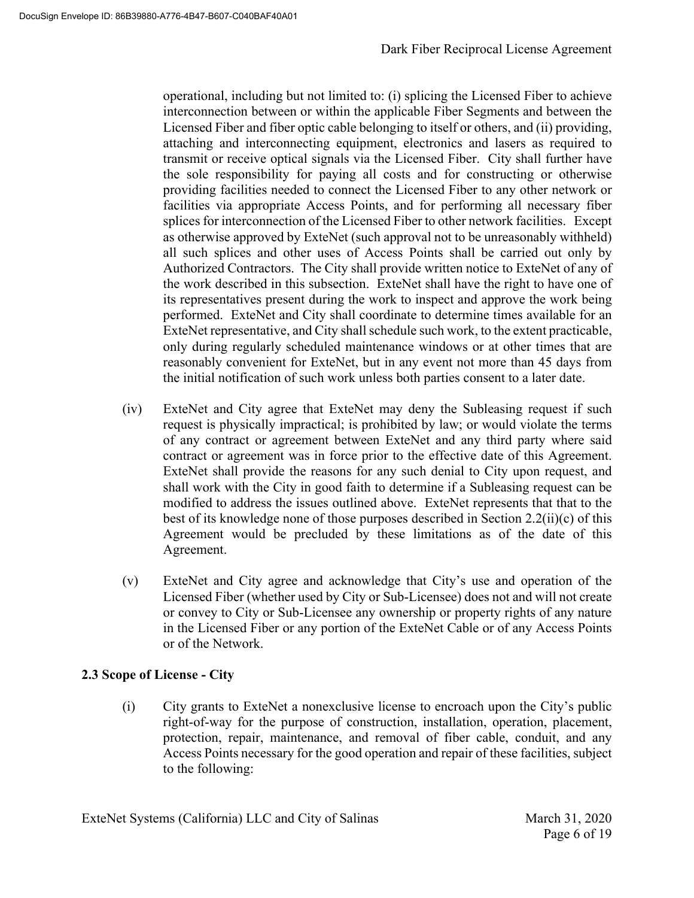operational, including but not limited to: (i) splicing the Licensed Fiber to achieve interconnection between or within the applicable Fiber Segments and between the Licensed Fiber and fiber optic cable belonging to itself or others, and (ii) providing, attaching and interconnecting equipment, electronics and lasers as required to transmit or receive optical signals via the Licensed Fiber. City shall further have the sole responsibility for paying all costs and for constructing or otherwise providing facilities needed to connect the Licensed Fiber to any other network or facilities via appropriate Access Points, and for performing all necessary fiber splices for interconnection of the Licensed Fiber to other network facilities. Except as otherwise approved by ExteNet (such approval not to be unreasonably withheld) all such splices and other uses of Access Points shall be carried out only by Authorized Contractors. The City shall provide written notice to ExteNet of any of the work described in this subsection. ExteNet shall have the right to have one of its representatives present during the work to inspect and approve the work being performed. ExteNet and City shall coordinate to determine times available for an ExteNet representative, and City shall schedule such work, to the extent practicable, only during regularly scheduled maintenance windows or at other times that are reasonably convenient for ExteNet, but in any event not more than 45 days from the initial notification of such work unless both parties consent to a later date.

- (iv) ExteNet and City agree that ExteNet may deny the Subleasing request if such request is physically impractical; is prohibited by law; or would violate the terms of any contract or agreement between ExteNet and any third party where said contract or agreement was in force prior to the effective date of this Agreement. ExteNet shall provide the reasons for any such denial to City upon request, and shall work with the City in good faith to determine if a Subleasing request can be modified to address the issues outlined above. ExteNet represents that that to the best of its knowledge none of those purposes described in Section 2.2(ii)(c) of this Agreement would be precluded by these limitations as of the date of this Agreement.
- (v) ExteNet and City agree and acknowledge that City's use and operation of the Licensed Fiber (whether used by City or Sub-Licensee) does not and will not create or convey to City or Sub-Licensee any ownership or property rights of any nature in the Licensed Fiber or any portion of the ExteNet Cable or of any Access Points or of the Network.

### **2.3 Scope of License - City**

(i) City grants to ExteNet a nonexclusive license to encroach upon the City's public right-of-way for the purpose of construction, installation, operation, placement, protection, repair, maintenance, and removal of fiber cable, conduit, and any Access Points necessary for the good operation and repair of these facilities, subject to the following: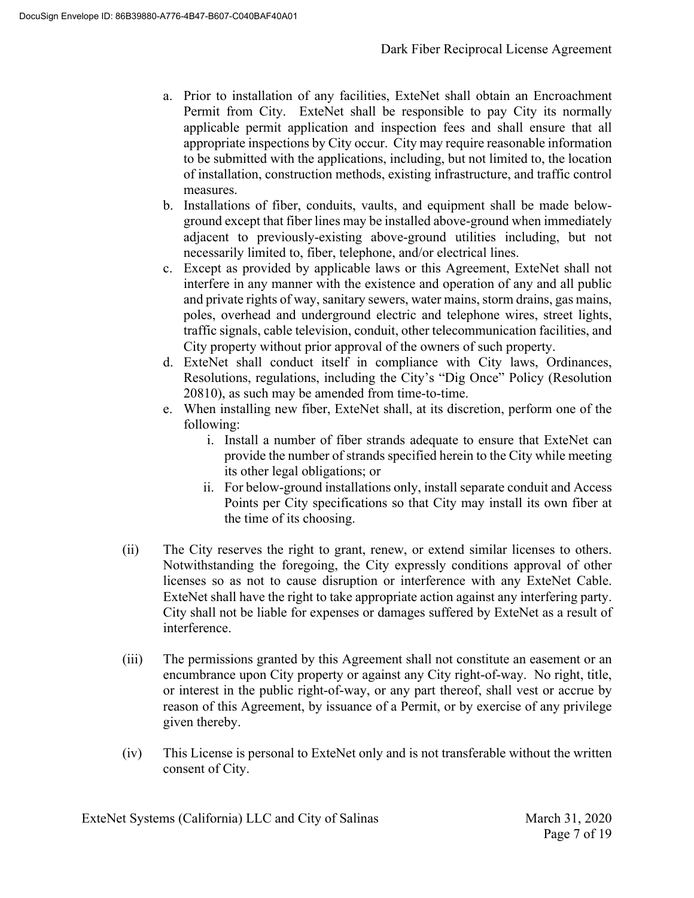- a. Prior to installation of any facilities, ExteNet shall obtain an Encroachment Permit from City. ExteNet shall be responsible to pay City its normally applicable permit application and inspection fees and shall ensure that all appropriate inspections by City occur. City may require reasonable information to be submitted with the applications, including, but not limited to, the location of installation, construction methods, existing infrastructure, and traffic control measures.
- b. Installations of fiber, conduits, vaults, and equipment shall be made belowground except that fiber lines may be installed above-ground when immediately adjacent to previously-existing above-ground utilities including, but not necessarily limited to, fiber, telephone, and/or electrical lines.
- c. Except as provided by applicable laws or this Agreement, ExteNet shall not interfere in any manner with the existence and operation of any and all public and private rights of way, sanitary sewers, water mains, storm drains, gas mains, poles, overhead and underground electric and telephone wires, street lights, traffic signals, cable television, conduit, other telecommunication facilities, and City property without prior approval of the owners of such property.
- d. ExteNet shall conduct itself in compliance with City laws, Ordinances, Resolutions, regulations, including the City's "Dig Once" Policy (Resolution 20810), as such may be amended from time-to-time.
- e. When installing new fiber, ExteNet shall, at its discretion, perform one of the following:
	- i. Install a number of fiber strands adequate to ensure that ExteNet can provide the number of strands specified herein to the City while meeting its other legal obligations; or
	- ii. For below-ground installations only, install separate conduit and Access Points per City specifications so that City may install its own fiber at the time of its choosing.
- (ii) The City reserves the right to grant, renew, or extend similar licenses to others. Notwithstanding the foregoing, the City expressly conditions approval of other licenses so as not to cause disruption or interference with any ExteNet Cable. ExteNet shall have the right to take appropriate action against any interfering party. City shall not be liable for expenses or damages suffered by ExteNet as a result of interference.
- (iii) The permissions granted by this Agreement shall not constitute an easement or an encumbrance upon City property or against any City right-of-way. No right, title, or interest in the public right-of-way, or any part thereof, shall vest or accrue by reason of this Agreement, by issuance of a Permit, or by exercise of any privilege given thereby.
- (iv) This License is personal to ExteNet only and is not transferable without the written consent of City.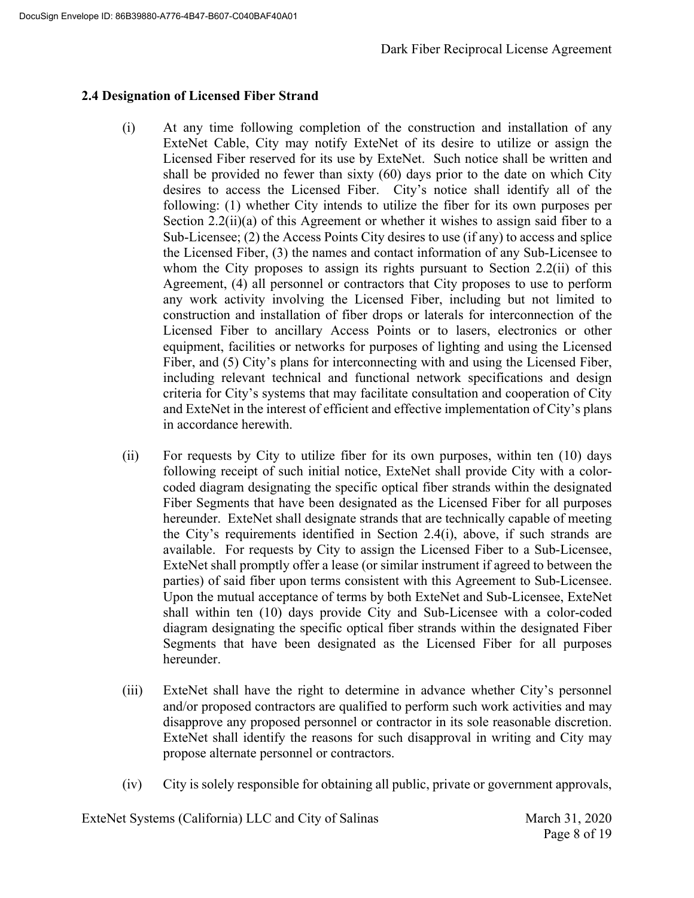#### **2.4 Designation of Licensed Fiber Strand**

- (i) At any time following completion of the construction and installation of any ExteNet Cable, City may notify ExteNet of its desire to utilize or assign the Licensed Fiber reserved for its use by ExteNet. Such notice shall be written and shall be provided no fewer than sixty (60) days prior to the date on which City desires to access the Licensed Fiber. City's notice shall identify all of the following: (1) whether City intends to utilize the fiber for its own purposes per Section 2.2(ii)(a) of this Agreement or whether it wishes to assign said fiber to a Sub-Licensee; (2) the Access Points City desires to use (if any) to access and splice the Licensed Fiber, (3) the names and contact information of any Sub-Licensee to whom the City proposes to assign its rights pursuant to Section 2.2(ii) of this Agreement, (4) all personnel or contractors that City proposes to use to perform any work activity involving the Licensed Fiber, including but not limited to construction and installation of fiber drops or laterals for interconnection of the Licensed Fiber to ancillary Access Points or to lasers, electronics or other equipment, facilities or networks for purposes of lighting and using the Licensed Fiber, and (5) City's plans for interconnecting with and using the Licensed Fiber, including relevant technical and functional network specifications and design criteria for City's systems that may facilitate consultation and cooperation of City and ExteNet in the interest of efficient and effective implementation of City's plans in accordance herewith.
- (ii) For requests by City to utilize fiber for its own purposes, within ten (10) days following receipt of such initial notice, ExteNet shall provide City with a colorcoded diagram designating the specific optical fiber strands within the designated Fiber Segments that have been designated as the Licensed Fiber for all purposes hereunder. ExteNet shall designate strands that are technically capable of meeting the City's requirements identified in Section 2.4(i), above, if such strands are available. For requests by City to assign the Licensed Fiber to a Sub-Licensee, ExteNet shall promptly offer a lease (or similar instrument if agreed to between the parties) of said fiber upon terms consistent with this Agreement to Sub-Licensee. Upon the mutual acceptance of terms by both ExteNet and Sub-Licensee, ExteNet shall within ten (10) days provide City and Sub-Licensee with a color-coded diagram designating the specific optical fiber strands within the designated Fiber Segments that have been designated as the Licensed Fiber for all purposes hereunder.
- (iii) ExteNet shall have the right to determine in advance whether City's personnel and/or proposed contractors are qualified to perform such work activities and may disapprove any proposed personnel or contractor in its sole reasonable discretion. ExteNet shall identify the reasons for such disapproval in writing and City may propose alternate personnel or contractors.
- (iv) City is solely responsible for obtaining all public, private or government approvals,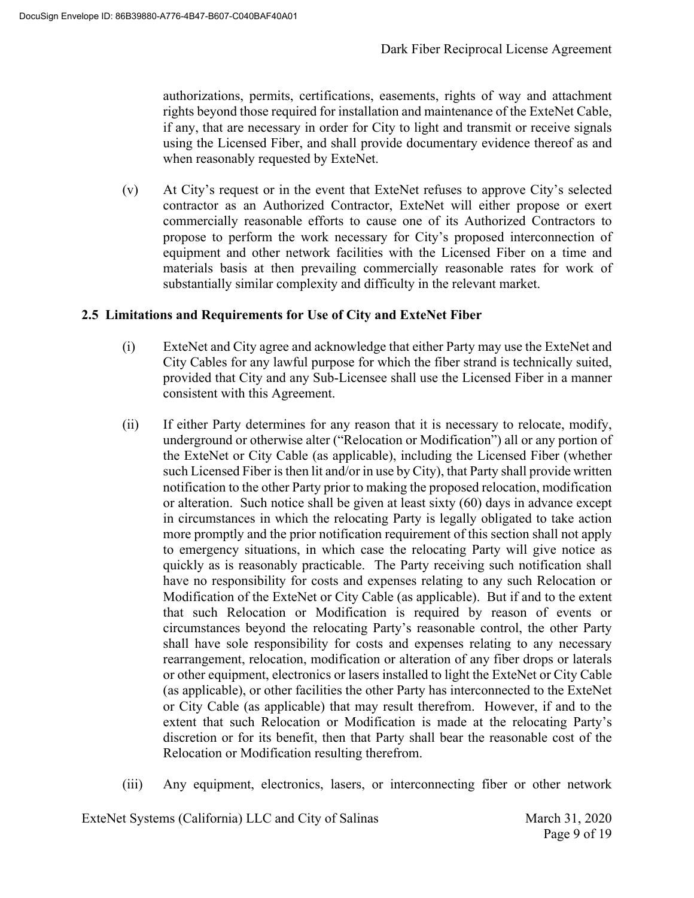authorizations, permits, certifications, easements, rights of way and attachment rights beyond those required for installation and maintenance of the ExteNet Cable, if any, that are necessary in order for City to light and transmit or receive signals using the Licensed Fiber, and shall provide documentary evidence thereof as and when reasonably requested by ExteNet.

(v) At City's request or in the event that ExteNet refuses to approve City's selected contractor as an Authorized Contractor, ExteNet will either propose or exert commercially reasonable efforts to cause one of its Authorized Contractors to propose to perform the work necessary for City's proposed interconnection of equipment and other network facilities with the Licensed Fiber on a time and materials basis at then prevailing commercially reasonable rates for work of substantially similar complexity and difficulty in the relevant market.

#### **2.5 Limitations and Requirements for Use of City and ExteNet Fiber**

- (i) ExteNet and City agree and acknowledge that either Party may use the ExteNet and City Cables for any lawful purpose for which the fiber strand is technically suited, provided that City and any Sub-Licensee shall use the Licensed Fiber in a manner consistent with this Agreement.
- (ii) If either Party determines for any reason that it is necessary to relocate, modify, underground or otherwise alter ("Relocation or Modification") all or any portion of the ExteNet or City Cable (as applicable), including the Licensed Fiber (whether such Licensed Fiber is then lit and/or in use by City), that Party shall provide written notification to the other Party prior to making the proposed relocation, modification or alteration. Such notice shall be given at least sixty (60) days in advance except in circumstances in which the relocating Party is legally obligated to take action more promptly and the prior notification requirement of this section shall not apply to emergency situations, in which case the relocating Party will give notice as quickly as is reasonably practicable. The Party receiving such notification shall have no responsibility for costs and expenses relating to any such Relocation or Modification of the ExteNet or City Cable (as applicable). But if and to the extent that such Relocation or Modification is required by reason of events or circumstances beyond the relocating Party's reasonable control, the other Party shall have sole responsibility for costs and expenses relating to any necessary rearrangement, relocation, modification or alteration of any fiber drops or laterals or other equipment, electronics or lasers installed to light the ExteNet or City Cable (as applicable), or other facilities the other Party has interconnected to the ExteNet or City Cable (as applicable) that may result therefrom. However, if and to the extent that such Relocation or Modification is made at the relocating Party's discretion or for its benefit, then that Party shall bear the reasonable cost of the Relocation or Modification resulting therefrom.
- (iii) Any equipment, electronics, lasers, or interconnecting fiber or other network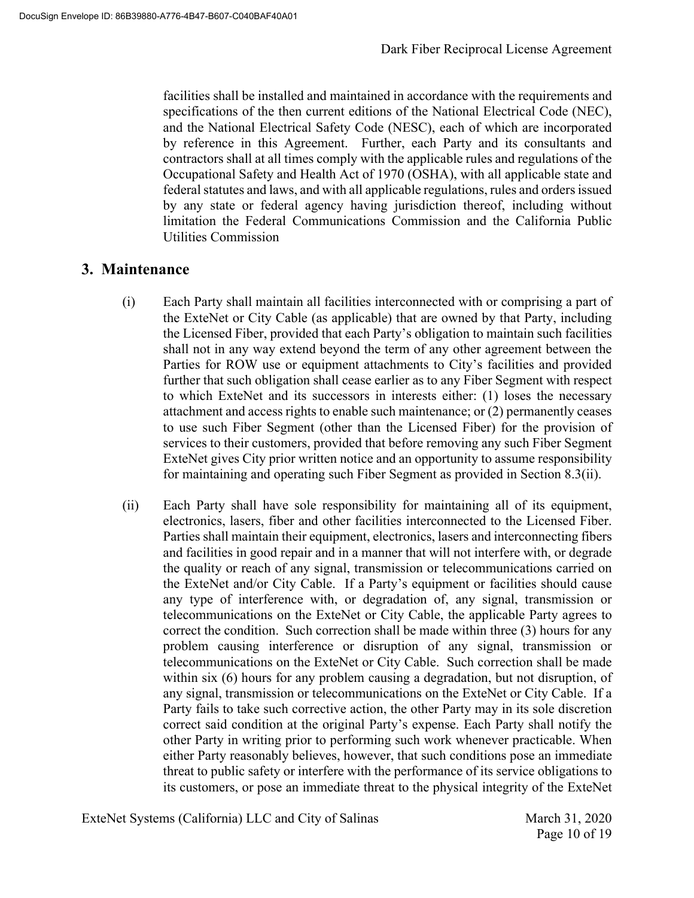facilities shall be installed and maintained in accordance with the requirements and specifications of the then current editions of the National Electrical Code (NEC), and the National Electrical Safety Code (NESC), each of which are incorporated by reference in this Agreement. Further, each Party and its consultants and contractors shall at all times comply with the applicable rules and regulations of the Occupational Safety and Health Act of 1970 (OSHA), with all applicable state and federal statutes and laws, and with all applicable regulations, rules and orders issued by any state or federal agency having jurisdiction thereof, including without limitation the Federal Communications Commission and the California Public Utilities Commission

## **3. Maintenance**

- (i) Each Party shall maintain all facilities interconnected with or comprising a part of the ExteNet or City Cable (as applicable) that are owned by that Party, including the Licensed Fiber, provided that each Party's obligation to maintain such facilities shall not in any way extend beyond the term of any other agreement between the Parties for ROW use or equipment attachments to City's facilities and provided further that such obligation shall cease earlier as to any Fiber Segment with respect to which ExteNet and its successors in interests either: (1) loses the necessary attachment and access rights to enable such maintenance; or (2) permanently ceases to use such Fiber Segment (other than the Licensed Fiber) for the provision of services to their customers, provided that before removing any such Fiber Segment ExteNet gives City prior written notice and an opportunity to assume responsibility for maintaining and operating such Fiber Segment as provided in Section 8.3(ii).
- (ii) Each Party shall have sole responsibility for maintaining all of its equipment, electronics, lasers, fiber and other facilities interconnected to the Licensed Fiber. Parties shall maintain their equipment, electronics, lasers and interconnecting fibers and facilities in good repair and in a manner that will not interfere with, or degrade the quality or reach of any signal, transmission or telecommunications carried on the ExteNet and/or City Cable. If a Party's equipment or facilities should cause any type of interference with, or degradation of, any signal, transmission or telecommunications on the ExteNet or City Cable, the applicable Party agrees to correct the condition. Such correction shall be made within three (3) hours for any problem causing interference or disruption of any signal, transmission or telecommunications on the ExteNet or City Cable. Such correction shall be made within six (6) hours for any problem causing a degradation, but not disruption, of any signal, transmission or telecommunications on the ExteNet or City Cable. If a Party fails to take such corrective action, the other Party may in its sole discretion correct said condition at the original Party's expense. Each Party shall notify the other Party in writing prior to performing such work whenever practicable. When either Party reasonably believes, however, that such conditions pose an immediate threat to public safety or interfere with the performance of its service obligations to its customers, or pose an immediate threat to the physical integrity of the ExteNet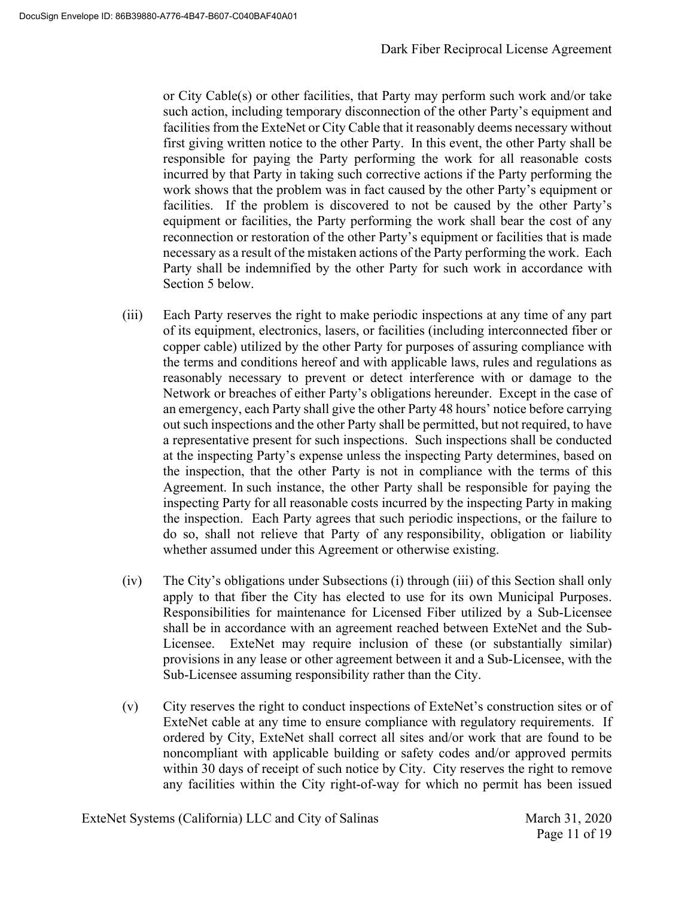or City Cable(s) or other facilities, that Party may perform such work and/or take such action, including temporary disconnection of the other Party's equipment and facilities from the ExteNet or City Cable that it reasonably deems necessary without first giving written notice to the other Party. In this event, the other Party shall be responsible for paying the Party performing the work for all reasonable costs incurred by that Party in taking such corrective actions if the Party performing the work shows that the problem was in fact caused by the other Party's equipment or facilities. If the problem is discovered to not be caused by the other Party's equipment or facilities, the Party performing the work shall bear the cost of any reconnection or restoration of the other Party's equipment or facilities that is made necessary as a result of the mistaken actions of the Party performing the work. Each Party shall be indemnified by the other Party for such work in accordance with Section 5 below.

- (iii) Each Party reserves the right to make periodic inspections at any time of any part of its equipment, electronics, lasers, or facilities (including interconnected fiber or copper cable) utilized by the other Party for purposes of assuring compliance with the terms and conditions hereof and with applicable laws, rules and regulations as reasonably necessary to prevent or detect interference with or damage to the Network or breaches of either Party's obligations hereunder. Except in the case of an emergency, each Party shall give the other Party 48 hours' notice before carrying out such inspections and the other Party shall be permitted, but not required, to have a representative present for such inspections. Such inspections shall be conducted at the inspecting Party's expense unless the inspecting Party determines, based on the inspection, that the other Party is not in compliance with the terms of this Agreement. In such instance, the other Party shall be responsible for paying the inspecting Party for all reasonable costs incurred by the inspecting Party in making the inspection. Each Party agrees that such periodic inspections, or the failure to do so, shall not relieve that Party of any responsibility, obligation or liability whether assumed under this Agreement or otherwise existing.
- (iv) The City's obligations under Subsections (i) through (iii) of this Section shall only apply to that fiber the City has elected to use for its own Municipal Purposes. Responsibilities for maintenance for Licensed Fiber utilized by a Sub-Licensee shall be in accordance with an agreement reached between ExteNet and the Sub-Licensee. ExteNet may require inclusion of these (or substantially similar) provisions in any lease or other agreement between it and a Sub-Licensee, with the Sub-Licensee assuming responsibility rather than the City.
- (v) City reserves the right to conduct inspections of ExteNet's construction sites or of ExteNet cable at any time to ensure compliance with regulatory requirements. If ordered by City, ExteNet shall correct all sites and/or work that are found to be noncompliant with applicable building or safety codes and/or approved permits within 30 days of receipt of such notice by City. City reserves the right to remove any facilities within the City right-of-way for which no permit has been issued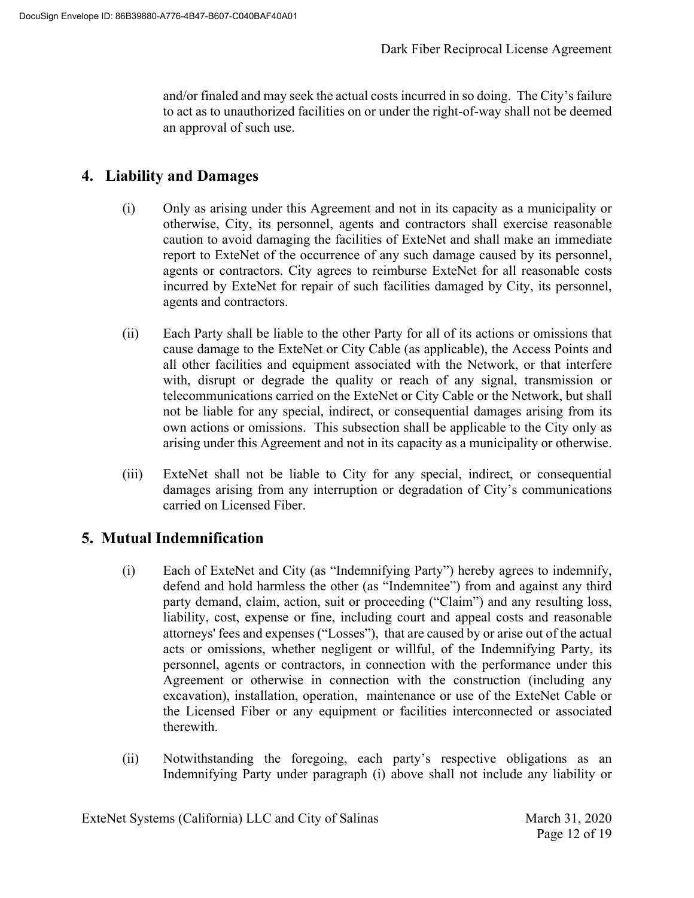and/or finaled and may seek the actual costs incurred in so doing. The City's failure to act as to unauthorized facilities on or under the right-of-way shall not be deemed an approval of such use.

# **4. Liability and Damages**

- (i) Only as arising under this Agreement and not in its capacity as a municipality or otherwise, City, its personnel, agents and contractors shall exercise reasonable caution to avoid damaging the facilities of ExteNet and shall make an immediate report to ExteNet of the occurrence of any such damage caused by its personnel, agents or contractors. City agrees to reimburse ExteNet for all reasonable costs incurred by ExteNet for repair of such facilities damaged by City, its personnel, agents and contractors.
- (ii) Each Party shall be liable to the other Party for all of its actions or omissions that cause damage to the ExteNet or City Cable (as applicable), the Access Points and all other facilities and equipment associated with the Network, or that interfere with, disrupt or degrade the quality or reach of any signal, transmission or telecommunications carried on the ExteNet or City Cable or the Network, but shall not be liable for any special, indirect, or consequential damages arising from its own actions or omissions. This subsection shall be applicable to the City only as arising under this Agreement and not in its capacity as a municipality or otherwise.
- (iii) ExteNet shall not be liable to City for any special, indirect, or consequential damages arising from any interruption or degradation of City's communications carried on Licensed Fiber.

# **5. Mutual Indemnification**

- (i) Each of ExteNet and City (as "Indemnifying Party") hereby agrees to indemnify, defend and hold harmless the other (as "Indemnitee") from and against any third party demand, claim, action, suit or proceeding ("Claim") and any resulting loss, liability, cost, expense or fine, including court and appeal costs and reasonable attorneys' fees and expenses ("Losses"), that are caused by or arise out of the actual acts or omissions, whether negligent or willful, of the Indemnifying Party, its personnel, agents or contractors, in connection with the performance under this Agreement or otherwise in connection with the construction (including any excavation), installation, operation, maintenance or use of the ExteNet Cable or the Licensed Fiber or any equipment or facilities interconnected or associated therewith.
- (ii) Notwithstanding the foregoing, each party's respective obligations as an Indemnifying Party under paragraph (i) above shall not include any liability or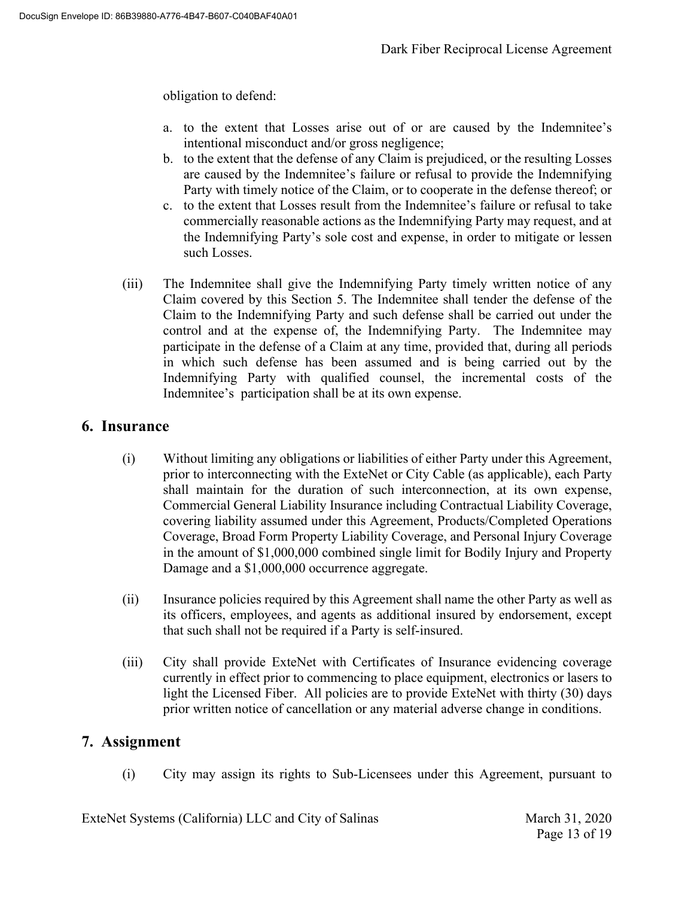obligation to defend:

- a. to the extent that Losses arise out of or are caused by the Indemnitee's intentional misconduct and/or gross negligence;
- b. to the extent that the defense of any Claim is prejudiced, or the resulting Losses are caused by the Indemnitee's failure or refusal to provide the Indemnifying Party with timely notice of the Claim, or to cooperate in the defense thereof; or
- c. to the extent that Losses result from the Indemnitee's failure or refusal to take commercially reasonable actions as the Indemnifying Party may request, and at the Indemnifying Party's sole cost and expense, in order to mitigate or lessen such Losses.
- (iii) The Indemnitee shall give the Indemnifying Party timely written notice of any Claim covered by this Section 5. The Indemnitee shall tender the defense of the Claim to the Indemnifying Party and such defense shall be carried out under the control and at the expense of, the Indemnifying Party. The Indemnitee may participate in the defense of a Claim at any time, provided that, during all periods in which such defense has been assumed and is being carried out by the Indemnifying Party with qualified counsel, the incremental costs of the Indemnitee's participation shall be at its own expense.

# **6. Insurance**

- (i) Without limiting any obligations or liabilities of either Party under this Agreement, prior to interconnecting with the ExteNet or City Cable (as applicable), each Party shall maintain for the duration of such interconnection, at its own expense, Commercial General Liability Insurance including Contractual Liability Coverage, covering liability assumed under this Agreement, Products/Completed Operations Coverage, Broad Form Property Liability Coverage, and Personal Injury Coverage in the amount of \$1,000,000 combined single limit for Bodily Injury and Property Damage and a \$1,000,000 occurrence aggregate.
- (ii) Insurance policies required by this Agreement shall name the other Party as well as its officers, employees, and agents as additional insured by endorsement, except that such shall not be required if a Party is self-insured.
- (iii) City shall provide ExteNet with Certificates of Insurance evidencing coverage currently in effect prior to commencing to place equipment, electronics or lasers to light the Licensed Fiber. All policies are to provide ExteNet with thirty (30) days prior written notice of cancellation or any material adverse change in conditions.

### **7. Assignment**

(i) City may assign its rights to Sub-Licensees under this Agreement, pursuant to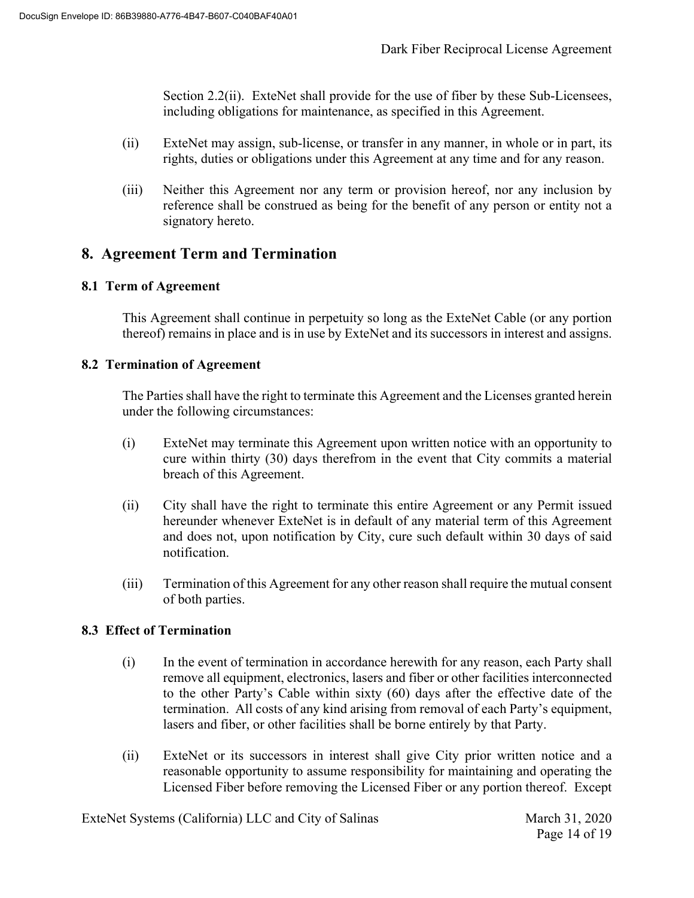Section 2.2(ii). ExteNet shall provide for the use of fiber by these Sub-Licensees, including obligations for maintenance, as specified in this Agreement.

- (ii) ExteNet may assign, sub-license, or transfer in any manner, in whole or in part, its rights, duties or obligations under this Agreement at any time and for any reason.
- (iii) Neither this Agreement nor any term or provision hereof, nor any inclusion by reference shall be construed as being for the benefit of any person or entity not a signatory hereto.

## **8. Agreement Term and Termination**

#### **8.1 Term of Agreement**

This Agreement shall continue in perpetuity so long as the ExteNet Cable (or any portion thereof) remains in place and is in use by ExteNet and its successors in interest and assigns.

#### **8.2 Termination of Agreement**

The Parties shall have the right to terminate this Agreement and the Licenses granted herein under the following circumstances:

- (i) ExteNet may terminate this Agreement upon written notice with an opportunity to cure within thirty (30) days therefrom in the event that City commits a material breach of this Agreement.
- (ii) City shall have the right to terminate this entire Agreement or any Permit issued hereunder whenever ExteNet is in default of any material term of this Agreement and does not, upon notification by City, cure such default within 30 days of said notification.
- (iii) Termination of this Agreement for any other reason shall require the mutual consent of both parties.

#### **8.3 Effect of Termination**

- (i) In the event of termination in accordance herewith for any reason, each Party shall remove all equipment, electronics, lasers and fiber or other facilities interconnected to the other Party's Cable within sixty (60) days after the effective date of the termination. All costs of any kind arising from removal of each Party's equipment, lasers and fiber, or other facilities shall be borne entirely by that Party.
- (ii) ExteNet or its successors in interest shall give City prior written notice and a reasonable opportunity to assume responsibility for maintaining and operating the Licensed Fiber before removing the Licensed Fiber or any portion thereof. Except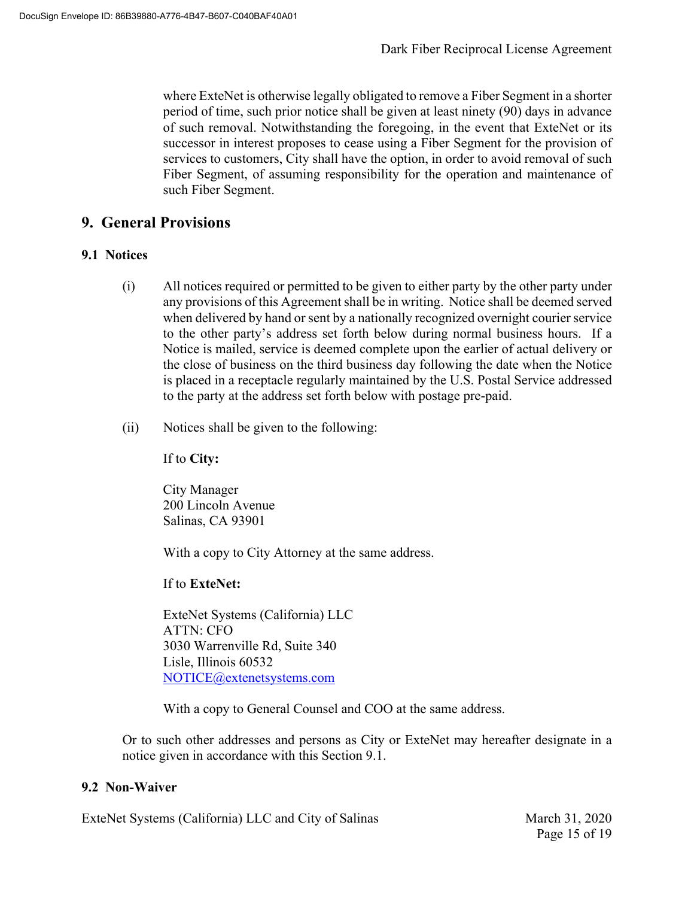where ExteNet is otherwise legally obligated to remove a Fiber Segment in a shorter period of time, such prior notice shall be given at least ninety (90) days in advance of such removal. Notwithstanding the foregoing, in the event that ExteNet or its successor in interest proposes to cease using a Fiber Segment for the provision of services to customers, City shall have the option, in order to avoid removal of such Fiber Segment, of assuming responsibility for the operation and maintenance of such Fiber Segment.

## **9. General Provisions**

#### **9.1 Notices**

- (i) All notices required or permitted to be given to either party by the other party under any provisions of this Agreement shall be in writing. Notice shall be deemed served when delivered by hand or sent by a nationally recognized overnight courier service to the other party's address set forth below during normal business hours. If a Notice is mailed, service is deemed complete upon the earlier of actual delivery or the close of business on the third business day following the date when the Notice is placed in a receptacle regularly maintained by the U.S. Postal Service addressed to the party at the address set forth below with postage pre-paid.
- (ii) Notices shall be given to the following:

If to **City:** 

City Manager 200 Lincoln Avenue Salinas, CA 93901

With a copy to City Attorney at the same address.

If to **ExteNet:**

 ExteNet Systems (California) LLC ATTN: CFO 3030 Warrenville Rd, Suite 340 Lisle, Illinois 60532 NOTICE@extenetsystems.com

With a copy to General Counsel and COO at the same address.

Or to such other addresses and persons as City or ExteNet may hereafter designate in a notice given in accordance with this Section 9.1.

#### **9.2 Non-Waiver**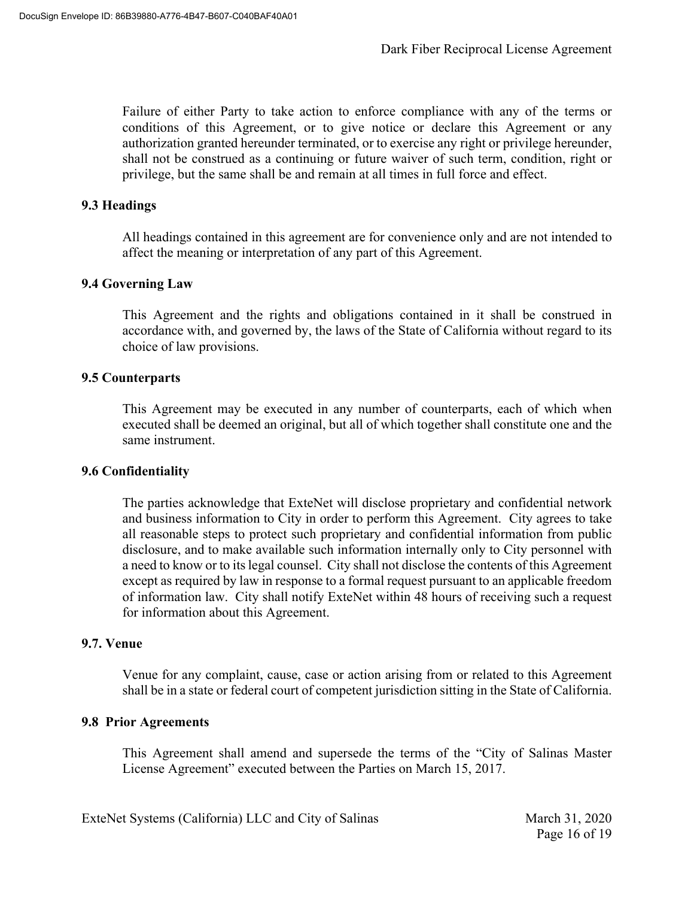Failure of either Party to take action to enforce compliance with any of the terms or conditions of this Agreement, or to give notice or declare this Agreement or any authorization granted hereunder terminated, or to exercise any right or privilege hereunder, shall not be construed as a continuing or future waiver of such term, condition, right or privilege, but the same shall be and remain at all times in full force and effect.

#### **9.3 Headings**

All headings contained in this agreement are for convenience only and are not intended to affect the meaning or interpretation of any part of this Agreement.

#### **9.4 Governing Law**

This Agreement and the rights and obligations contained in it shall be construed in accordance with, and governed by, the laws of the State of California without regard to its choice of law provisions.

#### **9.5 Counterparts**

This Agreement may be executed in any number of counterparts, each of which when executed shall be deemed an original, but all of which together shall constitute one and the same instrument.

#### **9.6 Confidentiality**

The parties acknowledge that ExteNet will disclose proprietary and confidential network and business information to City in order to perform this Agreement. City agrees to take all reasonable steps to protect such proprietary and confidential information from public disclosure, and to make available such information internally only to City personnel with a need to know or to its legal counsel. City shall not disclose the contents of this Agreement except as required by law in response to a formal request pursuant to an applicable freedom of information law. City shall notify ExteNet within 48 hours of receiving such a request for information about this Agreement.

#### **9.7. Venue**

Venue for any complaint, cause, case or action arising from or related to this Agreement shall be in a state or federal court of competent jurisdiction sitting in the State of California.

#### **9.8 Prior Agreements**

This Agreement shall amend and supersede the terms of the "City of Salinas Master License Agreement" executed between the Parties on March 15, 2017.

ExteNet Systems (California) LLC and City of Salinas March 31, 2020

Page 16 of 19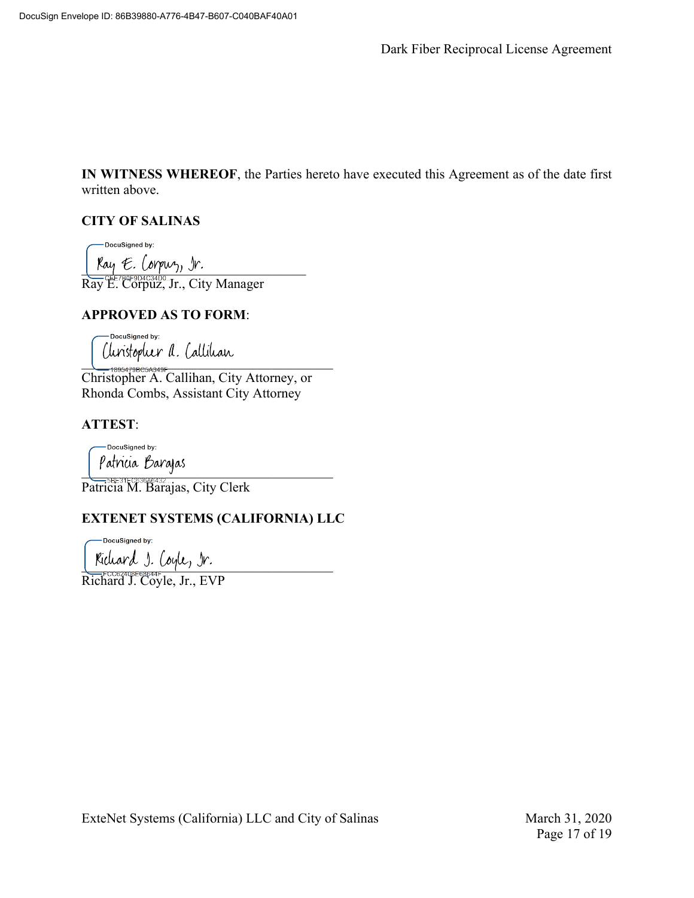Dark Fiber Reciprocal License Agreement

**IN WITNESS WHEREOF**, the Parties hereto have executed this Agreement as of the date first written above.

#### **CITY OF SALINAS**

DocuSigned by:  $\kappa$ ay  $\epsilon$ . Corpuz, Jr. Ray E. Corpuz, Jr., City Manager

### **APPROVED AS TO FORM**:

DocuSigned by: Clivistopher a. Callihan

Christopher A. Callihan, City Attorney, or Rhonda Combs, Assistant City Attorney

## **ATTEST**:

-DocuSigned by:  $\overline{\phantom{a}}$ 

Patricia M. Barajas, City Clerk

# **EXTENET SYSTEMS (CALIFORNIA) LLC**

DocuSigned by:  $\bigcup_{\mathsf{recoometric}} \mathsf{Neu}_\mathsf{Q}$ 

Richard J. Coyle, Jr., EVP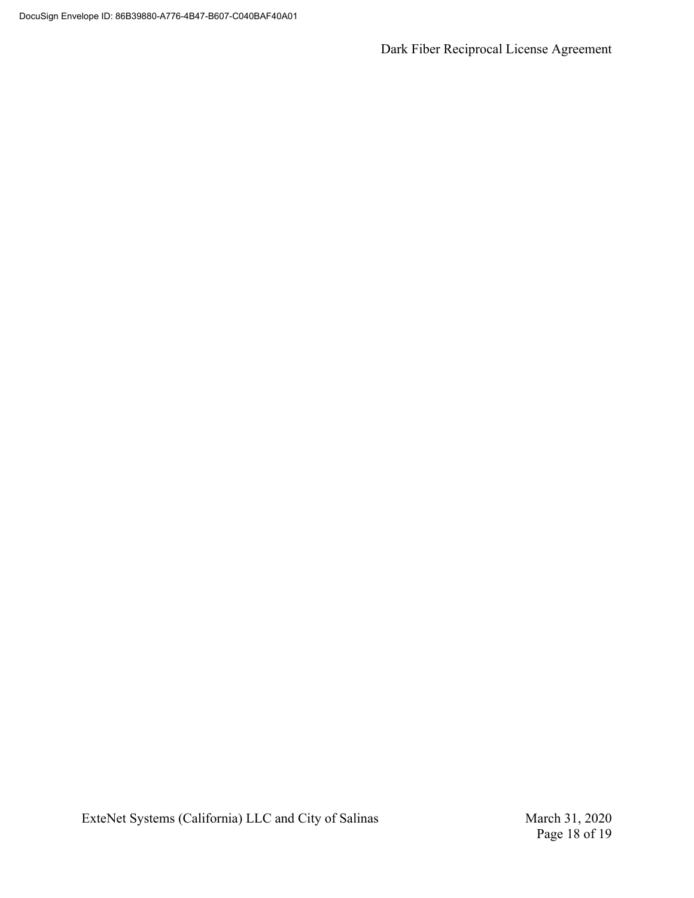Dark Fiber Reciprocal License Agreement